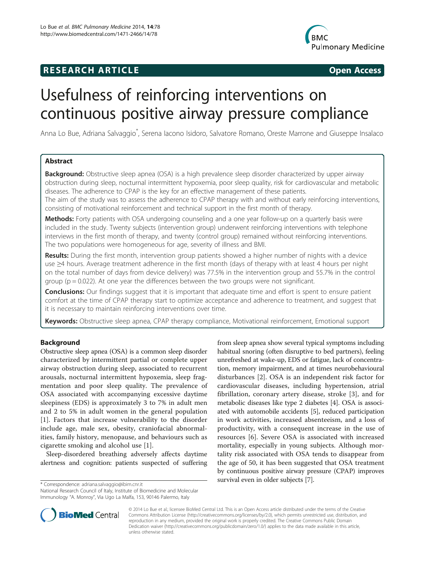## **RESEARCH ARTICLE Example 2014 CONSIDERING CONSIDERING CONSIDERING CONSIDERING CONSIDERING CONSIDERING CONSIDERING CONSIDERING CONSIDERING CONSIDERING CONSIDERING CONSIDERING CONSIDERING CONSIDERING CONSIDERING CONSIDE**



# Usefulness of reinforcing interventions on continuous positive airway pressure compliance

Anna Lo Bue, Adriana Salvaggio<sup>\*</sup>, Serena Iacono Isidoro, Salvatore Romano, Oreste Marrone and Giuseppe Insalaco

## Abstract

**Background:** Obstructive sleep apnea (OSA) is a high prevalence sleep disorder characterized by upper airway obstruction during sleep, nocturnal intermittent hypoxemia, poor sleep quality, risk for cardiovascular and metabolic diseases. The adherence to CPAP is the key for an effective management of these patients.

The aim of the study was to assess the adherence to CPAP therapy with and without early reinforcing interventions, consisting of motivational reinforcement and technical support in the first month of therapy.

**Methods:** Forty patients with OSA undergoing counseling and a one year follow-up on a quarterly basis were included in the study. Twenty subjects (intervention group) underwent reinforcing interventions with telephone interviews in the first month of therapy, and twenty (control group) remained without reinforcing interventions. The two populations were homogeneous for age, severity of illness and BMI.

Results: During the first month, intervention group patients showed a higher number of nights with a device use ≥4 hours. Average treatment adherence in the first month (days of therapy with at least 4 hours per night on the total number of days from device delivery) was 77.5% in the intervention group and 55.7% in the control group ( $p = 0.022$ ). At one year the differences between the two groups were not significant.

**Conclusions:** Our findings suggest that it is important that adequate time and effort is spent to ensure patient comfort at the time of CPAP therapy start to optimize acceptance and adherence to treatment, and suggest that it is necessary to maintain reinforcing interventions over time.

Keywords: Obstructive sleep apnea, CPAP therapy compliance, Motivational reinforcement, Emotional support

## Background

Obstructive sleep apnea (OSA) is a common sleep disorder characterized by intermittent partial or complete upper airway obstruction during sleep, associated to recurrent arousals, nocturnal intermittent hypoxemia, sleep fragmentation and poor sleep quality. The prevalence of OSA associated with accompanying excessive daytime sleepiness (EDS) is approximately 3 to 7% in adult men and 2 to 5% in adult women in the general population [[1\]](#page-4-0). Factors that increase vulnerability to the disorder include age, male sex, obesity, craniofacial abnormalities, family history, menopause, and behaviours such as cigarette smoking and alcohol use [[1\]](#page-4-0).

Sleep-disordered breathing adversely affects daytime alertness and cognition: patients suspected of suffering

National Research Council of Italy, Institute of Biomedicine and Molecular Immunology "A. Monroy", Via Ugo La Malfa, 153, 90146 Palermo, Italy

from sleep apnea show several typical symptoms including habitual snoring (often disruptive to bed partners), feeling unrefreshed at wake-up, EDS or fatigue, lack of concentration, memory impairment, and at times neurobehavioural disturbances [[2\]](#page-4-0). OSA is an independent risk factor for cardiovascular diseases, including hypertension, atrial fibrillation, coronary artery disease, stroke [[3\]](#page-4-0), and for metabolic diseases like type 2 diabetes [\[4](#page-4-0)]. OSA is associated with automobile accidents [[5](#page-4-0)], reduced participation in work activities, increased absenteeism, and a loss of productivity, with a consequent increase in the use of resources [\[6](#page-4-0)]. Severe OSA is associated with increased mortality, especially in young subjects. Although mortality risk associated with OSA tends to disappear from the age of 50, it has been suggested that OSA treatment by continuous positive airway pressure (CPAP) improves survival even in older subjects [[7](#page-4-0)]. \* Correspondence: [adriana.salvaggio@ibim.cnr.it](mailto:adriana.salvaggio@ibim.cnr.it)



© 2014 Lo Bue et al.; licensee BioMed Central Ltd. This is an Open Access article distributed under the terms of the Creative Commons Attribution License [\(http://creativecommons.org/licenses/by/2.0\)](http://creativecommons.org/licenses/by/2.0), which permits unrestricted use, distribution, and reproduction in any medium, provided the original work is properly credited. The Creative Commons Public Domain Dedication waiver [\(http://creativecommons.org/publicdomain/zero/1.0/](http://creativecommons.org/publicdomain/zero/1.0/)) applies to the data made available in this article, unless otherwise stated.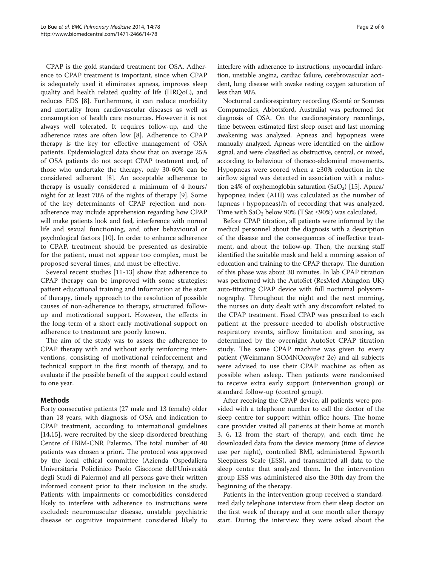CPAP is the gold standard treatment for OSA. Adherence to CPAP treatment is important, since when CPAP is adequately used it eliminates apneas, improves sleep quality and health related quality of life (HRQoL), and reduces EDS [\[8](#page-4-0)]. Furthermore, it can reduce morbidity and mortality from cardiovascular diseases as well as consumption of health care resources. However it is not always well tolerated. It requires follow-up, and the adherence rates are often low [[8\]](#page-4-0). Adherence to CPAP therapy is the key for effective management of OSA patients. Epidemiological data show that on average 25% of OSA patients do not accept CPAP treatment and, of those who undertake the therapy, only 30-60% can be considered adherent [[8\]](#page-4-0). An acceptable adherence to therapy is usually considered a minimum of 4 hours/ night for at least 70% of the nights of therapy [\[9](#page-4-0)]. Some of the key determinants of CPAP rejection and nonadherence may include apprehension regarding how CPAP will make patients look and feel, interference with normal life and sexual functioning, and other behavioural or psychological factors [[10](#page-4-0)]. In order to enhance adherence to CPAP, treatment should be presented as desirable for the patient, must not appear too complex, must be proposed several times, and must be effective.

Several recent studies [\[11](#page-4-0)-[13\]](#page-4-0) show that adherence to CPAP therapy can be improved with some strategies: patient educational training and information at the start of therapy, timely approach to the resolution of possible causes of non-adherence to therapy, structured followup and motivational support. However, the effects in the long-term of a short early motivational support on adherence to treatment are poorly known.

The aim of the study was to assess the adherence to CPAP therapy with and without early reinforcing interventions, consisting of motivational reinforcement and technical support in the first month of therapy, and to evaluate if the possible benefit of the support could extend to one year.

## Methods

Forty consecutive patients (27 male and 13 female) older than 18 years, with diagnosis of OSA and indication to CPAP treatment, according to international guidelines [[14,15\]](#page-4-0), were recruited by the sleep disordered breathing Centre of IBIM-CNR Palermo. The total number of 40 patients was chosen a priori. The protocol was approved by the local ethical committee (Azienda Ospedaliera Universitaria Policlinico Paolo Giaccone dell'Università degli Studi di Palermo) and all persons gave their written informed consent prior to their inclusion in the study. Patients with impairments or comorbidities considered likely to interfere with adherence to instructions were excluded: neuromuscular disease, unstable psychiatric disease or cognitive impairment considered likely to

interfere with adherence to instructions, myocardial infarction, unstable angina, cardiac failure, cerebrovascular accident, lung disease with awake resting oxygen saturation of less than 90%.

Nocturnal cardiorespiratory recording (Somté or Somnea Compumedics, Abbotsford, Australia) was performed for diagnosis of OSA. On the cardiorespiratory recordings, time between estimated first sleep onset and last morning awakening was analyzed. Apneas and hypopneas were manually analyzed. Apneas were identified on the airflow signal, and were classified as obstructive, central, or mixed, according to behaviour of thoraco-abdominal movements. Hypopneas were scored when a ≥30% reduction in the airflow signal was detected in association with a reduc-tion ≥4% of oxyhemoglobin saturation (SaO<sub>2</sub>) [\[15](#page-4-0)]. Apnea/ hypopnea index (AHI) was calculated as the number of (apneas + hypopneas)/h of recording that was analyzed. Time with  $CaO<sub>2</sub>$  below 90% (TSat ≤90%) was calculated.

Before CPAP titration, all patients were informed by the medical personnel about the diagnosis with a description of the disease and the consequences of ineffective treatment, and about the follow-up. Then, the nursing staff identified the suitable mask and held a morning session of education and training to the CPAP therapy. The duration of this phase was about 30 minutes. In lab CPAP titration was performed with the AutoSet (ResMed Abingdon UK) auto-titrating CPAP device with full nocturnal polysomnography. Throughout the night and the next morning, the nurses on duty dealt with any discomfort related to the CPAP treatment. Fixed CPAP was prescribed to each patient at the pressure needed to abolish obstructive respiratory events, airflow limitation and snoring, as determined by the overnight AutoSet CPAP titration study. The same CPAP machine was given to every patient (Weinmann SOMNOcomfort 2e) and all subjects were advised to use their CPAP machine as often as possible when asleep. Then patients were randomised to receive extra early support (intervention group) or standard follow-up (control group).

After receiving the CPAP device, all patients were provided with a telephone number to call the doctor of the sleep centre for support within office hours. The home care provider visited all patients at their home at month 3, 6, 12 from the start of therapy, and each time he downloaded data from the device memory (time of device use per night), controlled BMI, administered Epworth Sleepiness Scale (ESS), and transmitted all data to the sleep centre that analyzed them. In the intervention group ESS was administered also the 30th day from the beginning of the therapy.

Patients in the intervention group received a standardized daily telephone interview from their sleep doctor on the first week of therapy and at one month after therapy start. During the interview they were asked about the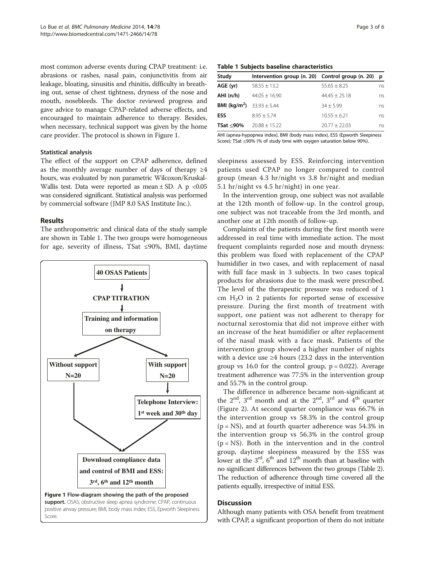most common adverse events during CPAP treatment: i.e. abrasions or rashes, nasal pain, conjunctivitis from air leakage, bloating, sinusitis and rhinitis, difficulty in breathing out, sense of chest tightness, dryness of the nose and mouth, nosebleeds. The doctor reviewed progress and gave advice to manage CPAP-related adverse effects, and encouraged to maintain adherence to therapy. Besides, when necessary, technical support was given by the home care provider. The protocol is shown in Figure 1.

## Statistical analysis

The effect of the support on CPAP adherence, defined as the monthly average number of days of therapy  $\geq 4$ hours, was evaluated by non parametric Wilcoxon/Kruskal-Wallis test. Data were reported as mean  $\pm$  SD. A p <0.05 was considered significant. Statistical analysis was performed by commercial software (JMP 8.0 SAS Institute Inc.).

## Results

The anthropometric and clinical data of the study sample are shown in Table 1. The two groups were homogeneous for age, severity of illness, TSat ≤90%, BMI, daytime



Table 1 Subjects baseline characteristics

| Study                                          | Intervention group (n. 20) Control group (n. 20) p |                  |    |
|------------------------------------------------|----------------------------------------------------|------------------|----|
| AGE (yr)                                       | $58.55 + 13.2$                                     | $55.65 + 8.25$   | ns |
| AHI(n/h)                                       | $44.05 + 16.90$                                    | $44.45 + 25.18$  | ns |
| <b>BMI (kg/m<sup>2</sup>)</b> $33.93 \pm 5.44$ |                                                    | $34 + 5.99$      | ns |
| <b>ESS</b>                                     | $8.95 + 5.74$                                      | $10.55 \pm 6.21$ | ns |
| TSat <90%                                      | $20.88 \pm 15.22$                                  | $20.77 + 22.03$  | ns |

AHI (apnea-hypopnea index), BMI (body mass index), ESS (Epworth Sleepiness Score); TSat ≤90% (% of study time with oxygen saturation below 90%).

sleepiness assessed by ESS. Reinforcing intervention patients used CPAP no longer compared to control group (mean 4.3 hr/night vs 3.8 hr/night and median 5.1 hr/night vs 4.5 hr/night) in one year.

In the intervention group, one subject was not available at the 12th month of follow-up. In the control group, one subject was not traceable from the 3rd month, and another one at 12th month of follow-up.

Complaints of the patients during the first month were addressed in real time with immediate action. The most frequent complaints regarded nose and mouth dryness: this problem was fixed with replacement of the CPAP humidifier in two cases, and with replacement of nasal with full face mask in 3 subjects. In two cases topical products for abrasions due to the mask were prescribed. The level of the therapeutic pressure was reduced of 1 cm  $H_2O$  in 2 patients for reported sense of excessive pressure. During the first month of treatment with support, one patient was not adherent to therapy for nocturnal xerostomia that did not improve either with an increase of the heat humidifier or after replacement of the nasal mask with a face mask. Patients of the intervention group showed a higher number of nights with a device use ≥4 hours (23.2 days in the intervention group vs 16.0 for the control group,  $p = 0.022$ ). Average treatment adherence was 77.5% in the intervention group and 55.7% in the control group.

The difference in adherence became non-significant at the  $2<sup>nd</sup>$ ,  $3<sup>rd</sup>$  month and at the  $2<sup>nd</sup>$ ,  $3<sup>rd</sup>$  and  $4<sup>th</sup>$  quarter (Figure [2\)](#page-3-0). At second quarter compliance was 66.7% in the intervention group vs 58.3% in the control group  $(p = NS)$ , and at fourth quarter adherence was 54.3% in the intervention group vs 56.3% in the control group  $(p = NS)$ . Both in the intervention and in the control group, daytime sleepiness measured by the ESS was lower at the  $3<sup>rd</sup>$ ,  $6<sup>th</sup>$  and  $12<sup>th</sup>$  month than at baseline with no significant differences between the two groups (Table [2](#page-3-0)). The reduction of adherence through time covered all the patients equally, irrespective of initial ESS.

## **Discussion**

Although many patients with OSA benefit from treatment with CPAP, a significant proportion of them do not initiate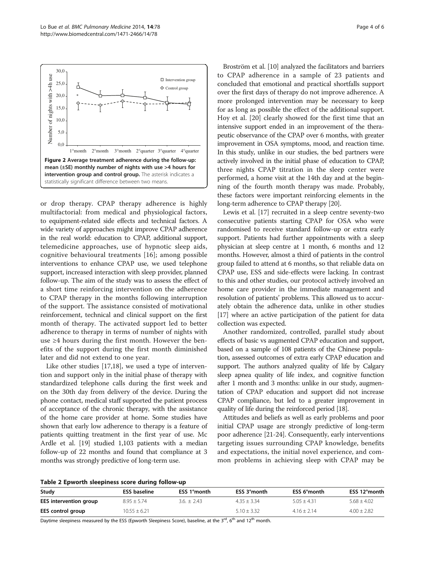<span id="page-3-0"></span>

or drop therapy. CPAP therapy adherence is highly multifactorial: from medical and physiological factors, to equipment-related side effects and technical factors. A wide variety of approaches might improve CPAP adherence in the real world: education to CPAP, additional support, telemedicine approaches, use of hypnotic sleep aids, cognitive behavioural treatments [[16\]](#page-5-0); among possible interventions to enhance CPAP use, we used telephone support, increased interaction with sleep provider, planned follow-up. The aim of the study was to assess the effect of a short time reinforcing intervention on the adherence to CPAP therapy in the months following interruption of the support. The assistance consisted of motivational reinforcement, technical and clinical support on the first month of therapy. The activated support led to better adherence to therapy in terms of number of nights with use ≥4 hours during the first month. However the benefits of the support during the first month diminished later and did not extend to one year.

Like other studies [[17](#page-5-0),[18](#page-5-0)], we used a type of intervention and support only in the initial phase of therapy with standardized telephone calls during the first week and on the 30th day from delivery of the device. During the phone contact, medical staff supported the patient process of acceptance of the chronic therapy, with the assistance of the home care provider at home. Some studies have shown that early low adherence to therapy is a feature of patients quitting treatment in the first year of use. Mc Ardle et al. [[19](#page-5-0)] studied 1,103 patients with a median follow-up of 22 months and found that compliance at 3 months was strongly predictive of long-term use.

Broström et al. [\[10\]](#page-4-0) analyzed the facilitators and barriers to CPAP adherence in a sample of 23 patients and concluded that emotional and practical shortfalls support over the first days of therapy do not improve adherence. A more prolonged intervention may be necessary to keep for as long as possible the effect of the additional support. Hoy et al. [[20\]](#page-5-0) clearly showed for the first time that an intensive support ended in an improvement of the therapeutic observance of the CPAP over 6 months, with greater improvement in OSA symptoms, mood, and reaction time. In this study, unlike in our studies, the bed partners were actively involved in the initial phase of education to CPAP, three nights CPAP titration in the sleep center were performed, a home visit at the 14th day and at the beginning of the fourth month therapy was made. Probably, these factors were important reinforcing elements in the long-term adherence to CPAP therapy [[20](#page-5-0)].

Lewis et al. [[17](#page-5-0)] recruited in a sleep centre seventy-two consecutive patients starting CPAP for OSA who were randomised to receive standard follow-up or extra early support. Patients had further appointments with a sleep physician at sleep centre at 1 month, 6 months and 12 months. However, almost a third of patients in the control group failed to attend at 6 months, so that reliable data on CPAP use, ESS and side-effects were lacking. In contrast to this and other studies, our protocol actively involved an home care provider in the immediate management and resolution of patients' problems. This allowed us to accurately obtain the adherence data, unlike in other studies [[17](#page-5-0)] where an active participation of the patient for data collection was expected.

Another randomized, controlled, parallel study about effects of basic vs augmented CPAP education and support, based on a sample of 108 patients of the Chinese population, assessed outcomes of extra early CPAP education and support. The authors analyzed quality of life by Calgary sleep apnea quality of life index, and cognitive function after 1 month and 3 months: unlike in our study, augmentation of CPAP education and support did not increase CPAP compliance, but led to a greater improvement in quality of life during the reinforced period [[18](#page-5-0)].

Attitudes and beliefs as well as early problems and poor initial CPAP usage are strongly predictive of long-term poor adherence [\[21-24](#page-5-0)]. Consequently, early interventions targeting issues surrounding CPAP knowledge, benefits and expectations, the initial novel experience, and common problems in achieving sleep with CPAP may be



| Study                  | <b>ESS baseline</b> | ESS 1°month  | ESS 3°month     | ESS 6°month   | ESS 12°month    |
|------------------------|---------------------|--------------|-----------------|---------------|-----------------|
| EES intervention group | $8.95 + 5.74$       | $3.6 + 2.43$ | $4.35 + 3.34$   | $5.05 + 4.31$ | $5.68 \pm 4.02$ |
| EES control group      | $10.55 \pm 6.21$    |              | $5.10 \pm 3.32$ | $4.16 + 2.14$ | $4.00 \pm 2.82$ |

Daytime sleepiness measured by the ESS (Epworth Sleepiness Score), baseline, at the  $3^{rd}$ , 6<sup>th</sup> and  $12^{th}$  month.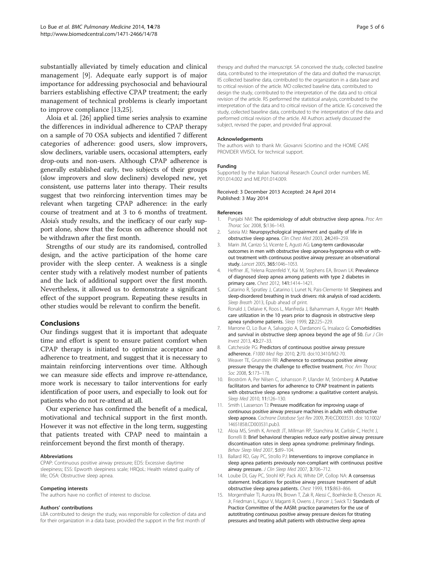<span id="page-4-0"></span>substantially alleviated by timely education and clinical management [9]. Adequate early support is of major importance for addressing psychosocial and behavioural barriers establishing effective CPAP treatment; the early management of technical problems is clearly important to improve compliance [13[,25](#page-5-0)].

Aloia et al. [\[26\]](#page-5-0) applied time series analysis to examine the differences in individual adherence to CPAP therapy on a sample of 70 OSA subjects and identified 7 different categories of adherence: good users, slow improvers, slow decliners, variable users, occasional attempters, early drop-outs and non-users. Although CPAP adherence is generally established early, two subjects of their groups (slow improvers and slow decliners) developed new, yet consistent, use patterns later into therapy. Their results suggest that two reinforcing intervention times may be relevant when targeting CPAP adherence: in the early course of treatment and at 3 to 6 months of treatment. Aloia's study results, and the inefficacy of our early support alone, show that the focus on adherence should not be withdrawn after the first month.

Strengths of our study are its randomised, controlled design, and the active participation of the home care provider with the sleep center. A weakness is a single center study with a relatively modest number of patients and the lack of additional support over the first month. Nevertheless, it allowed us to demonstrate a significant effect of the support program. Repeating these results in other studies would be relevant to confirm the benefit.

## Conclusions

Our findings suggest that it is important that adequate time and effort is spent to ensure patient comfort when CPAP therapy is initiated to optimize acceptance and adherence to treatment, and suggest that it is necessary to maintain reinforcing interventions over time. Although we can measure side effects and improve re-attendance, more work is necessary to tailor interventions for early identification of poor users, and especially to look out for patients who do not re-attend at all.

Our experience has confirmed the benefit of a medical, motivational and technical support in the first month. However it was not effective in the long term, suggesting that patients treated with CPAP need to maintain a reinforcement beyond the first month of therapy.

#### Abbreviations

CPAP: Continuous positive airway pressure; EDS: Excessive daytime sleepiness; ESS: Epworth sleepiness scale; HRQoL: Health related quality of life; OSA: Obstructive sleep apnea.

#### Competing interests

The authors have no conflict of interest to disclose.

#### Authors' contributions

LBA contributed to design the study, was responsible for collection of data and for their organization in a data base, provided the support in the first month of

therapy and drafted the manuscript. SA conceived the study, collected baseline data, contributed to the interpretation of the data and drafted the manuscript. IIS collected baseline data, contributed to the organization in a data base and to critical revision of the article. MO collected baseline data, contributed to design the study, contributed to the interpretation of the data and to critical revision of the article. RS performed the statistical analysis, contributed to the interpretation of the data and to critical revision of the article. IG conceived the study, collected baseline data, contributed to the interpretation of the data and performed critical revision of the article. All Authors actively discussed the subject, revised the paper, and provided final approval.

#### Acknowledgements

The authors wish to thank Mr. Giovanni Sciortino and the HOME CARE PROVIDER VIVISOL for technical support.

#### Funding

Supported by the Italian National Research Council order numbers ME. P01.014.002 and ME.P01.014.009.

#### Received: 3 December 2013 Accepted: 24 April 2014 Published: 3 May 2014

#### References

- 1. Punjabi NM: The epidemiology of adult obstructive sleep apnea. Proc Am Thorac Soc 2008, 5:136–143.
- 2. Sateia MJ: Neuropsychological impairment and quality of life in obstructive sleep apnea. Clin Chest Med 2003, 24:249–259.
- 3. Marin JM, Carrizo SJ, Vicente E, Agusti AG: Long-term cardiovascular outcomes in men with obstructive sleep apnoea-hypopnoea with or without treatment with continuous positive airway pressure: an observational study. Lancet 2005, 365:1046-1053.
- 4. Heffner JE, Yelena Rozenfeld Y, Kai M, Stephens EA, Brown LK: Prevalence of diagnosed sleep apnea among patients with type 2 diabetes in primary care. Chest 2012, 141:1414–1421.
- 5. Catarino R, Spratley J, Catarino I, Lunet N, Pais-Clemente M: Sleepiness and sleep-disordered breathing in truck drivers: risk analysis of road accidents. Sleep Breath 2013, Epub ahead of print.
- 6. Ronald J, Delaive K, Roos L, Manfreda J, Bahammam A, Kryger MH: Health care utilization in the 10 years prior to diagnosis in obstructive sleep apnea syndrome patients. Sleep 1999, 22:225–229.
- 7. Marrone O, Lo Bue A, Salvaggio A, Dardanoni G, Insalaco G: Comorbidities and survival in obstructive sleep apnoea beyond the age of 50. Eur J Clin Invest 2013, 43:27–33.
- 8. Catcheside PG: Predictors of continuous positive airway pressure adherence. F1000 Med Rep 2010, 2:70. doi:10.3410/M2-70.
- 9. Weaver TE, Grunstein RR: Adherence to continuous positive airway pressure therapy the challenge to effective treatment. Proc Am Thorac Soc 2008, 5:173-178.
- 10. Broström A, Per Nilsen C, Johansson P, Ulander M, Strömberg: A Putative facilitators and barriers for adherence to CPAP treatment in patients with obstructive sleep apnea syndrome: a qualitative content analysis. Sleep Med 2010, 11:126–130.
- 11. Smith I, Lasserson TJ: Pressure modification for improving usage of continuous positive airway pressure machines in adults with obstructive sleep apnoea. Cochrane Database Syst Rev 2009, 7(4):CD003531. doi: 10.1002/ 14651858.CD003531.pub3.
- 12. Aloia MS, Smith K, Arnedt JT, Millman RP, Stanchina M, Carlisle C, Hecht J, Borrelli B: Brief behavioral therapies reduce early positive airway pressure discontinuation rates in sleep apnea syndrome: preliminary findings. Behav Sleep Med 2007, 5:89–104.
- 13. Ballard RD, Gay PC, Strollo PJ: Interventions to improve compliance in sleep apnea patients previously non-compliant with continuous positive airway pressure. J Clin Sleep Med 2007, 3:706-712.
- 14. Loube DI, Gay PC, Strohl KP, Pack AI, White DP, Collop NA: A consensus statement. Indications for positive airway pressure treatment of adult obstructive sleep apnea patients. Chest 1999, 115:863–866.
- 15. Morgenthaler TI, Aurora RN, Brown T, Zak R, Alessi C, Boehlecke B, Chesson AL Jr, Friedman L, Kapur V, Maganti R, Owens J, Pancer J, Swick TJ: Standards of Practice Committee of the AASM: practice parameters for the use of autotitrating continuous positive airway pressure devices for titrating pressures and treating adult patients with obstructive sleep apnea